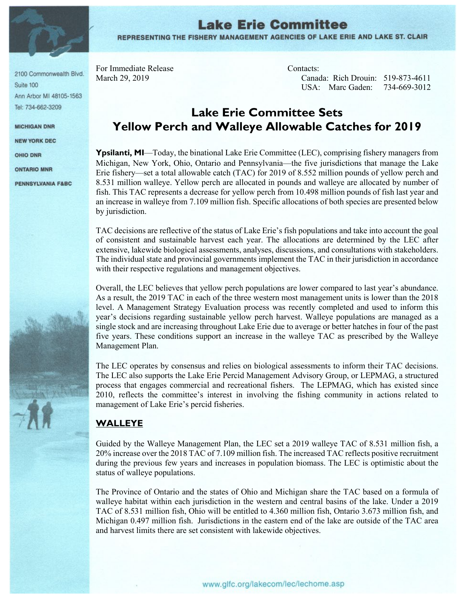

2100 Commonwealth Blvd. Suite 100 Ann Arbor MI 48105-1563 Tel: 734-662-3209

**MICHIGAN DNR** 

NEW YORK DEC

OHIO DNR

**ONTARIO MNR** 

PENNSYLVANIA F&BC

# **Lake Erie Committee** REPRESENTING THE FISHERY MANAGEMENT AGENCIES OF LAKE ERIE AND LAKE ST. CLAIR

For Immediate Release Contacts:

March 29, 2019 Canada: Rich Drouin: 519-873-4611 USA: Marc Gaden: 734-669-3012

# **Lake Erie Committee Sets Yellow Perch and Walleye Allowable Catches for 2019**

**Ypsilanti, MI—Today**, the binational Lake Erie Committee (LEC), comprising fishery managers from Michigan, New York, Ohio, Ontario and Pennsylvania—the five jurisdictions that manage the Lake Erie fishery—set a total allowable catch (TAC) for 2019 of 8.552 million pounds of yellow perch and 8.531 million walleye. Yellow perch are allocated in pounds and walleye are allocated by number of fish. This TAC represents a decrease for yellow perch from 10.498 million pounds of fish last year and an increase in walleye from 7.109 million fish. Specific allocations of both species are presented below by jurisdiction.

TAC decisions are reflective of the status of Lake Erie's fish populations and take into account the goal of consistent and sustainable harvest each year. The allocations are determined by the LEC after extensive, lakewide biological assessments, analyses, discussions, and consultations with stakeholders. The individual state and provincial governments implement the TAC in their jurisdiction in accordance with their respective regulations and management objectives.

Overall, the LEC believes that yellow perch populations are lower compared to last year's abundance. As a result, the 2019 TAC in each of the three western most management units is lower than the 2018 level. A Management Strategy Evaluation process was recently completed and used to inform this year's decisions regarding sustainable yellow perch harvest. Walleye populations are managed as a single stock and are increasing throughout Lake Erie due to average or better hatches in four of the past five years. These conditions support an increase in the walleye TAC as prescribed by the Walleye Management Plan.

The LEC operates by consensus and relies on biological assessments to inform their TAC decisions. The LEC also supports the Lake Erie Percid Management Advisory Group, or LEPMAG, a structured process that engages commercial and recreational fishers. The LEPMAG, which has existed since 2010, reflects the committee's interest in involving the fishing community in actions related to management of Lake Erie's percid fisheries.

#### **WALLEYE**

Guided by the Walleye Management Plan, the LEC set a 2019 walleye TAC of 8.531 million fish, a 20% increase over the 2018 TAC of 7.109 million fish. The increased TAC reflects positive recruitment during the previous few years and increases in population biomass. The LEC is optimistic about the status of walleye populations.

The Province of Ontario and the states of Ohio and Michigan share the TAC based on a formula of walleye habitat within each jurisdiction in the western and central basins of the lake. Under a 2019 TAC of 8.531 million fish, Ohio will be entitled to 4.360 million fish, Ontario 3.673 million fish, and Michigan 0.497 million fish. Jurisdictions in the eastern end of the lake are outside of the TAC area and harvest limits there are set consistent with lakewide objectives.